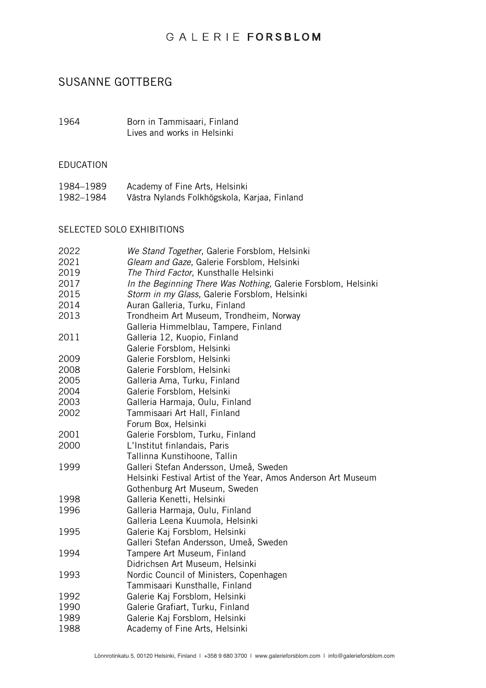# GALERIE FORSBLOM

# SUSANNE GOTTBERG

1964 Born in Tammisaari, Finland Lives and works in Helsinki

#### EDUCATION

| 1984–1989 | Academy of Fine Arts, Helsinki               |
|-----------|----------------------------------------------|
| 1982–1984 | Västra Nylands Folkhögskola, Karjaa, Finland |

## SELECTED SOLO EXHIBITIONS

| We Stand Together, Galerie Forsblom, Helsinki<br>Gleam and Gaze, Galerie Forsblom, Helsinki<br>The Third Factor, Kunsthalle Helsinki<br>In the Beginning There Was Nothing, Galerie Forsblom, Helsinki<br>Storm in my Glass, Galerie Forsblom, Helsinki<br>Auran Galleria, Turku, Finland<br>Trondheim Art Museum, Trondheim, Norway<br>Galleria Himmelblau, Tampere, Finland |
|-------------------------------------------------------------------------------------------------------------------------------------------------------------------------------------------------------------------------------------------------------------------------------------------------------------------------------------------------------------------------------|
| Galleria 12, Kuopio, Finland<br>Galerie Forsblom, Helsinki                                                                                                                                                                                                                                                                                                                    |
| Galerie Forsblom, Helsinki<br>Galerie Forsblom, Helsinki                                                                                                                                                                                                                                                                                                                      |
| Galleria Ama, Turku, Finland                                                                                                                                                                                                                                                                                                                                                  |
| Galerie Forsblom, Helsinki                                                                                                                                                                                                                                                                                                                                                    |
| Galleria Harmaja, Oulu, Finland                                                                                                                                                                                                                                                                                                                                               |
| Tammisaari Art Hall, Finland<br>Forum Box, Helsinki                                                                                                                                                                                                                                                                                                                           |
| Galerie Forsblom, Turku, Finland                                                                                                                                                                                                                                                                                                                                              |
| L'Institut finlandais, Paris                                                                                                                                                                                                                                                                                                                                                  |
| Tallinna Kunstihoone, Tallin                                                                                                                                                                                                                                                                                                                                                  |
| Galleri Stefan Andersson, Umeå, Sweden                                                                                                                                                                                                                                                                                                                                        |
| Helsinki Festival Artist of the Year, Amos Anderson Art Museum                                                                                                                                                                                                                                                                                                                |
| Gothenburg Art Museum, Sweden                                                                                                                                                                                                                                                                                                                                                 |
| Galleria Kenetti, Helsinki                                                                                                                                                                                                                                                                                                                                                    |
| Galleria Harmaja, Oulu, Finland                                                                                                                                                                                                                                                                                                                                               |
| Galleria Leena Kuumola, Helsinki                                                                                                                                                                                                                                                                                                                                              |
| Galerie Kaj Forsblom, Helsinki                                                                                                                                                                                                                                                                                                                                                |
| Galleri Stefan Andersson, Umeå, Sweden                                                                                                                                                                                                                                                                                                                                        |
| Tampere Art Museum, Finland                                                                                                                                                                                                                                                                                                                                                   |
| Didrichsen Art Museum, Helsinki                                                                                                                                                                                                                                                                                                                                               |
| Nordic Council of Ministers, Copenhagen                                                                                                                                                                                                                                                                                                                                       |
| Tammisaari Kunsthalle, Finland                                                                                                                                                                                                                                                                                                                                                |
| Galerie Kaj Forsblom, Helsinki                                                                                                                                                                                                                                                                                                                                                |
| Galerie Grafiart, Turku, Finland                                                                                                                                                                                                                                                                                                                                              |
| Galerie Kaj Forsblom, Helsinki                                                                                                                                                                                                                                                                                                                                                |
| Academy of Fine Arts, Helsinki                                                                                                                                                                                                                                                                                                                                                |
|                                                                                                                                                                                                                                                                                                                                                                               |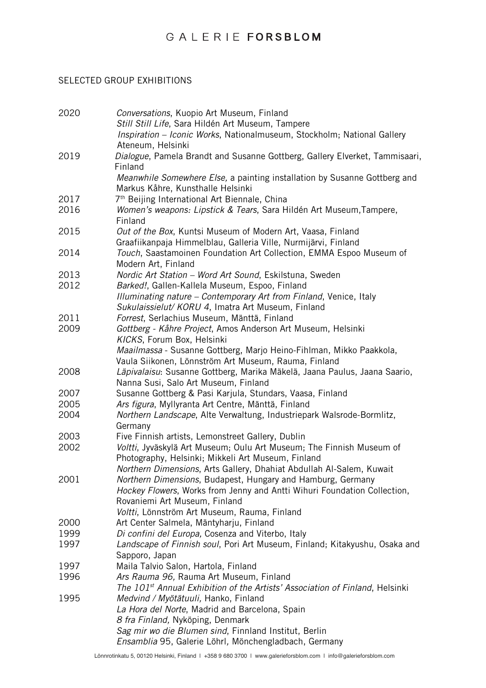## GALERIE FORSBLOM

## SELECTED GROUP EXHIBITIONS

| 2020 | Conversations, Kuopio Art Museum, Finland<br>Still Still Life, Sara Hildén Art Museum, Tampere                                |
|------|-------------------------------------------------------------------------------------------------------------------------------|
|      | Inspiration - Iconic Works, Nationalmuseum, Stockholm; National Gallery<br>Ateneum, Helsinki                                  |
| 2019 | Dialogue, Pamela Brandt and Susanne Gottberg, Gallery Elverket, Tammisaari,                                                   |
|      | Finland                                                                                                                       |
|      | Meanwhile Somewhere Else, a painting installation by Susanne Gottberg and                                                     |
|      | Markus Kåhre, Kunsthalle Helsinki                                                                                             |
| 2017 | 7 <sup>th</sup> Beijing International Art Biennale, China                                                                     |
| 2016 | Women's weapons: Lipstick & Tears, Sara Hildén Art Museum, Tampere,<br>Finland                                                |
| 2015 | Out of the Box, Kuntsi Museum of Modern Art, Vaasa, Finland<br>Graafiikanpaja Himmelblau, Galleria Ville, Nurmijärvi, Finland |
| 2014 | Touch, Saastamoinen Foundation Art Collection, EMMA Espoo Museum of<br>Modern Art, Finland                                    |
| 2013 | Nordic Art Station - Word Art Sound, Eskilstuna, Sweden                                                                       |
| 2012 | Barked!, Gallen-Kallela Museum, Espoo, Finland                                                                                |
|      | Illuminating nature – Contemporary Art from Finland, Venice, Italy                                                            |
|      | Sukulaissielut/ KORU 4, Imatra Art Museum, Finland                                                                            |
| 2011 | Forrest, Serlachius Museum, Mänttä, Finland                                                                                   |
| 2009 | Gottberg - Kåhre Project, Amos Anderson Art Museum, Helsinki                                                                  |
|      | KICKS, Forum Box, Helsinki                                                                                                    |
|      | Maailmassa - Susanne Gottberg, Marjo Heino-Fihlman, Mikko Paakkola,                                                           |
|      | Vaula Siikonen, Lönnström Art Museum, Rauma, Finland                                                                          |
| 2008 | Läpivalaisu: Susanne Gottberg, Marika Mäkelä, Jaana Paulus, Jaana Saario,                                                     |
| 2007 | Nanna Susi, Salo Art Museum, Finland<br>Susanne Gottberg & Pasi Karjula, Stundars, Vaasa, Finland                             |
| 2005 | Ars figura, Myllyranta Art Centre, Mänttä, Finland                                                                            |
| 2004 | Northern Landscape, Alte Verwaltung, Industriepark Walsrode-Bormlitz,                                                         |
|      | Germany                                                                                                                       |
| 2003 | Five Finnish artists, Lemonstreet Gallery, Dublin                                                                             |
| 2002 | Voltti, Jyväskylä Art Museum; Oulu Art Museum; The Finnish Museum of                                                          |
|      | Photography, Helsinki; Mikkeli Art Museum, Finland                                                                            |
|      | Northern Dimensions, Arts Gallery, Dhahiat Abdullah Al-Salem, Kuwait                                                          |
| 2001 | Northern Dimensions, Budapest, Hungary and Hamburg, Germany                                                                   |
|      | Hockey Flowers, Works from Jenny and Antti Wihuri Foundation Collection,                                                      |
|      | Rovaniemi Art Museum, Finland                                                                                                 |
| 2000 | Voltti, Lönnström Art Museum, Rauma, Finland<br>Art Center Salmela, Mäntyharju, Finland                                       |
| 1999 | Di confini del Europa, Cosenza and Viterbo, Italy                                                                             |
| 1997 | Landscape of Finnish soul, Pori Art Museum, Finland; Kitakyushu, Osaka and                                                    |
|      | Sapporo, Japan                                                                                                                |
| 1997 | Maila Talvio Salon, Hartola, Finland                                                                                          |
| 1996 | Ars Rauma 96, Rauma Art Museum, Finland                                                                                       |
|      | The 101 <sup>st</sup> Annual Exhibition of the Artists' Association of Finland, Helsinki                                      |
| 1995 | Medvind / Myötätuuli, Hanko, Finland                                                                                          |
|      | La Hora del Norte, Madrid and Barcelona, Spain                                                                                |
|      | 8 fra Finland, Nyköping, Denmark<br>Sag mir wo die Blumen sind, Finnland Institut, Berlin                                     |
|      | Ensamblia 95, Galerie Löhrl, Mönchengladbach, Germany                                                                         |
|      |                                                                                                                               |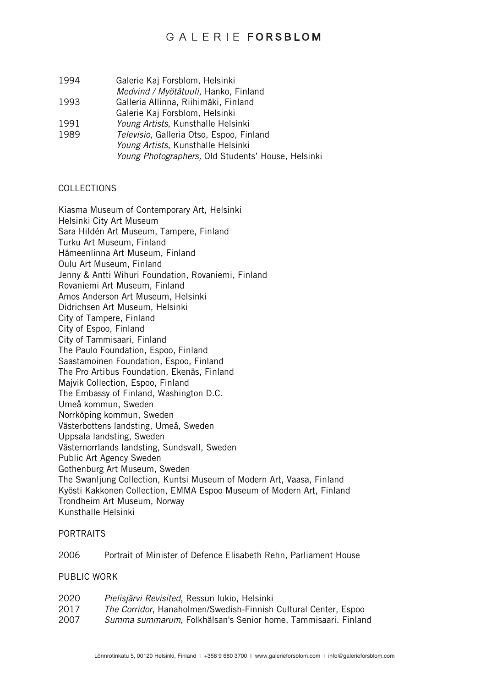- 1994 Galerie Kaj Forsblom, Helsinki
- *Medvind / Myötätuuli,* Hanko, Finland
- 1993 Galleria Allinna, Riihimäki, Finland
- Galerie Kaj Forsblom, Helsinki
- 1991 *Young Artists*, Kunsthalle Helsinki
- 1989 *Televisio*, Galleria Otso, Espoo, Finland *Young Artists*, Kunsthalle Helsinki *Young Photographers,* Old Students' House, Helsinki

### COLLECTIONS

Kiasma Museum of Contemporary Art, Helsinki Helsinki City Art Museum Sara Hildén Art Museum, Tampere, Finland Turku Art Museum, Finland Hämeenlinna Art Museum, Finland Oulu Art Museum, Finland Jenny & Antti Wihuri Foundation, Rovaniemi, Finland Rovaniemi Art Museum, Finland Amos Anderson Art Museum, Helsinki Didrichsen Art Museum, Helsinki City of Tampere, Finland City of Espoo, Finland City of Tammisaari, Finland The Paulo Foundation, Espoo, Finland Saastamoinen Foundation, Espoo, Finland The Pro Artibus Foundation, Ekenäs, Finland Majvik Collection, Espoo, Finland The Embassy of Finland, Washington D.C. Umeå kommun, Sweden Norrköping kommun, Sweden Västerbottens landsting, Umeå, Sweden Uppsala landsting, Sweden Västernorrlands landsting, Sundsvall, Sweden Public Art Agency Sweden Gothenburg Art Museum, Sweden The Swanljung Collection, Kuntsi Museum of Modern Art, Vaasa, Finland Kyösti Kakkonen Collection, EMMA Espoo Museum of Modern Art, Finland Trondheim Art Museum, Norway Kunsthalle Helsinki

#### PORTRAITS

2006 Portrait of Minister of Defence Elisabeth Rehn, Parliament House

PUBLIC WORK

| 2020 | Pielisjärvi Revisited, Ressun lukio, Helsinki                           |
|------|-------------------------------------------------------------------------|
| 2017 | <i>The Corridor</i> , Hanaholmen/Swedish-Finnish Cultural Center, Espoo |
| 2007 | Summa summarum, Folkhälsan's Senior home, Tammisaari. Finland           |